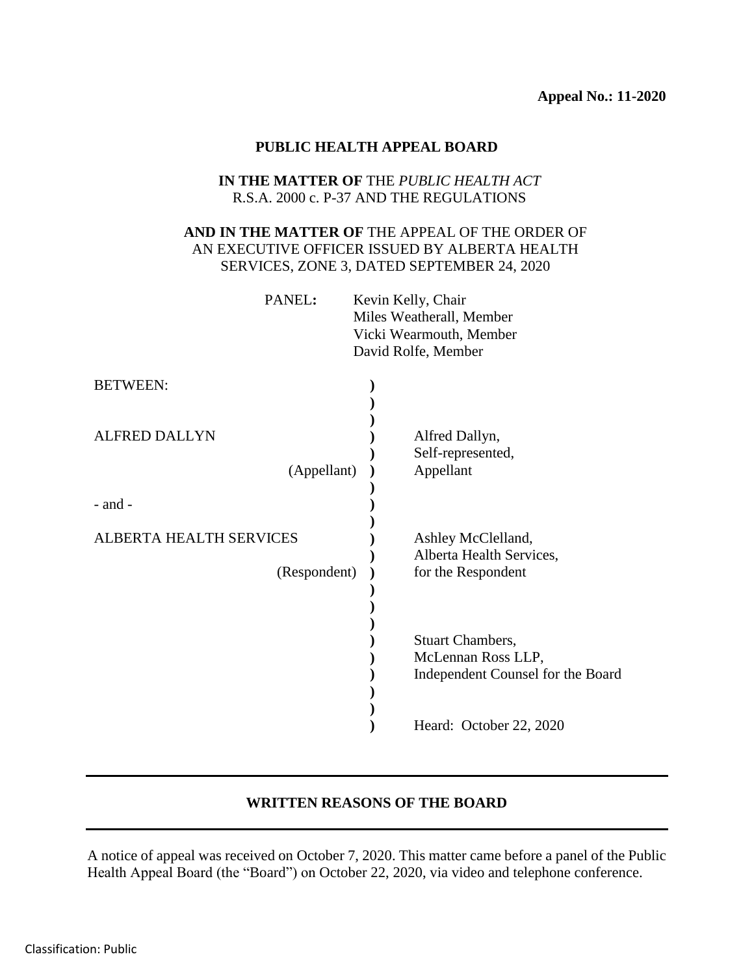#### **PUBLIC HEALTH APPEAL BOARD**

### **IN THE MATTER OF** THE *PUBLIC HEALTH ACT* R.S.A. 2000 c. P-37 AND THE REGULATIONS

# **AND IN THE MATTER OF** THE APPEAL OF THE ORDER OF AN EXECUTIVE OFFICER ISSUED BY ALBERTA HEALTH SERVICES, ZONE 3, DATED SEPTEMBER 24, 2020

| PANEL: | Kevin Kelly, Chair       |
|--------|--------------------------|
|        | Miles Weatherall, Member |
|        | Vicki Wearmouth, Member  |
|        | David Rolfe, Member      |
|        |                          |

| <b>BETWEEN:</b>                                |                                                                      |
|------------------------------------------------|----------------------------------------------------------------------|
| <b>ALFRED DALLYN</b><br>(Appellant)            | Alfred Dallyn,<br>Self-represented,<br>Appellant                     |
| $-$ and $-$                                    |                                                                      |
| <b>ALBERTA HEALTH SERVICES</b><br>(Respondent) | Ashley McClelland,<br>Alberta Health Services,<br>for the Respondent |
|                                                | <b>Stuart Chambers,</b>                                              |
|                                                | McLennan Ross LLP,<br>Independent Counsel for the Board              |
|                                                | Heard: October 22, 2020                                              |

# **WRITTEN REASONS OF THE BOARD**

A notice of appeal was received on October 7, 2020. This matter came before a panel of the Public Health Appeal Board (the "Board") on October 22, 2020, via video and telephone conference.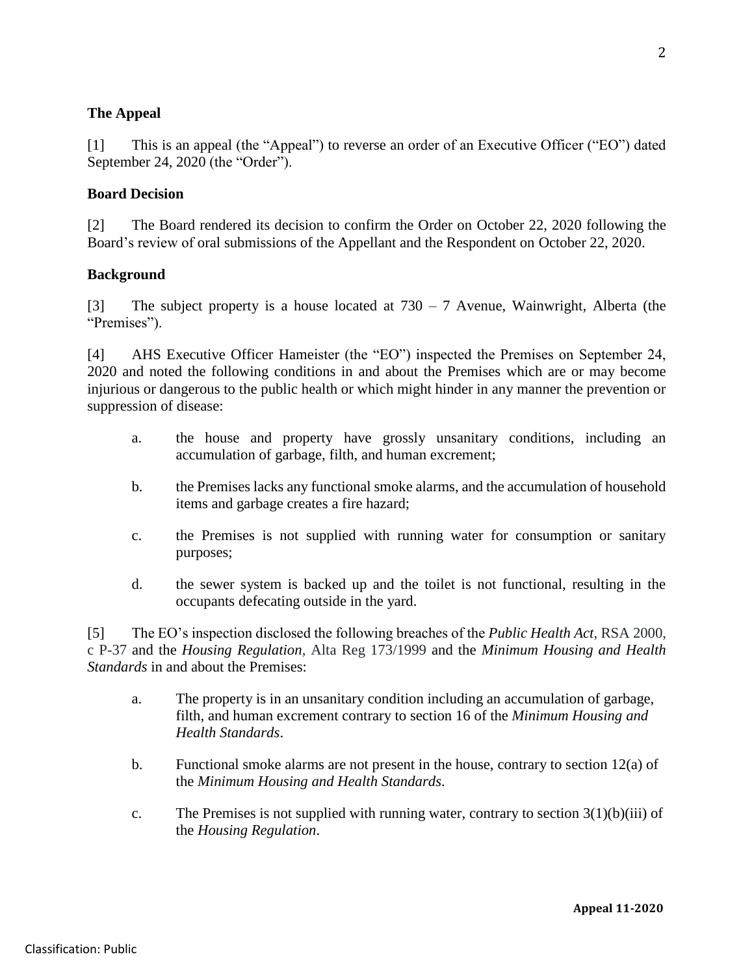# **The Appeal**

[1] This is an appeal (the "Appeal") to reverse an order of an Executive Officer ("EO") dated September 24, 2020 (the "Order").

### **Board Decision**

[2] The Board rendered its decision to confirm the Order on October 22, 2020 following the Board's review of oral submissions of the Appellant and the Respondent on October 22, 2020.

### **Background**

[3] The subject property is a house located at  $730 - 7$  Avenue, Wainwright, Alberta (the "Premises").

[4] AHS Executive Officer Hameister (the "EO") inspected the Premises on September 24, 2020 and noted the following conditions in and about the Premises which are or may become injurious or dangerous to the public health or which might hinder in any manner the prevention or suppression of disease:

- a. the house and property have grossly unsanitary conditions, including an accumulation of garbage, filth, and human excrement;
- b. the Premises lacks any functional smoke alarms, and the accumulation of household items and garbage creates a fire hazard;
- c. the Premises is not supplied with running water for consumption or sanitary purposes;
- d. the sewer system is backed up and the toilet is not functional, resulting in the occupants defecating outside in the yard.

[5] The EO's inspection disclosed the following breaches of the *Public Health Act*, RSA 2000, c P-37 and the *Housing Regulation*, Alta Reg 173/1999 and the *Minimum Housing and Health Standards* in and about the Premises:

- a. The property is in an unsanitary condition including an accumulation of garbage, filth, and human excrement contrary to section 16 of the *Minimum Housing and Health Standards*.
- b. Functional smoke alarms are not present in the house, contrary to section 12(a) of the *Minimum Housing and Health Standards*.
- c. The Premises is not supplied with running water, contrary to section  $3(1)(b)(iii)$  of the *Housing Regulation*.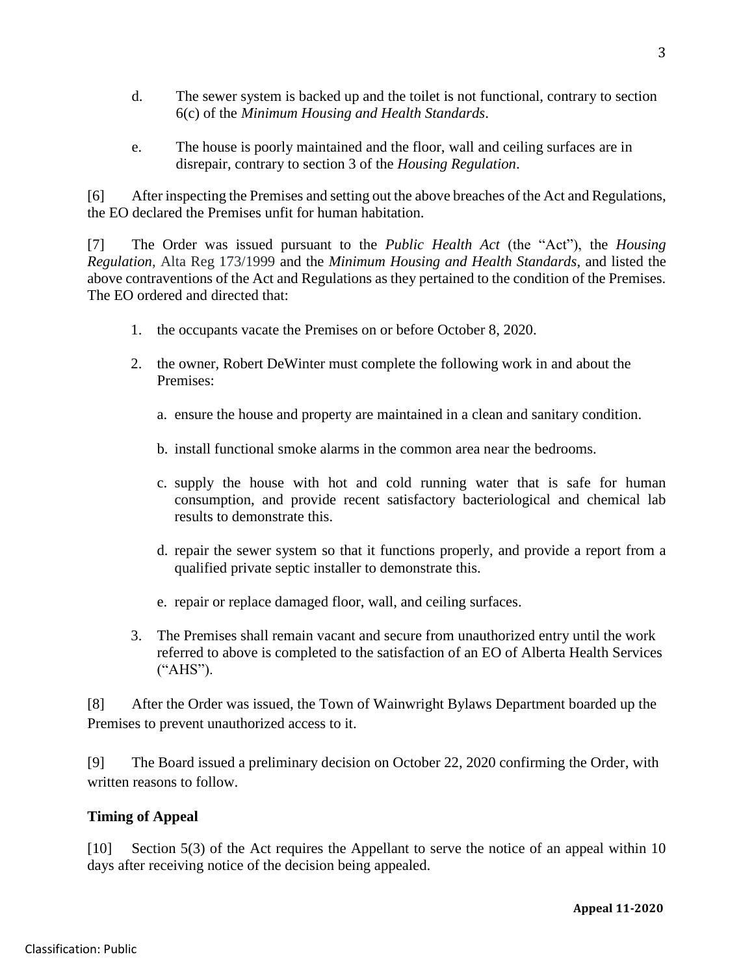- d. The sewer system is backed up and the toilet is not functional, contrary to section 6(c) of the *Minimum Housing and Health Standards*.
- e. The house is poorly maintained and the floor, wall and ceiling surfaces are in disrepair, contrary to section 3 of the *Housing Regulation*.

[6] After inspecting the Premises and setting out the above breaches of the Act and Regulations, the EO declared the Premises unfit for human habitation.

[7] The Order was issued pursuant to the *Public Health Act* (the "Act"), the *Housing Regulation*, Alta Reg 173/1999 and the *Minimum Housing and Health Standards*, and listed the above contraventions of the Act and Regulations as they pertained to the condition of the Premises. The EO ordered and directed that:

- 1. the occupants vacate the Premises on or before October 8, 2020.
- 2. the owner, Robert DeWinter must complete the following work in and about the Premises:
	- a. ensure the house and property are maintained in a clean and sanitary condition.
	- b. install functional smoke alarms in the common area near the bedrooms.
	- c. supply the house with hot and cold running water that is safe for human consumption, and provide recent satisfactory bacteriological and chemical lab results to demonstrate this.
	- d. repair the sewer system so that it functions properly, and provide a report from a qualified private septic installer to demonstrate this.
	- e. repair or replace damaged floor, wall, and ceiling surfaces.
- 3. The Premises shall remain vacant and secure from unauthorized entry until the work referred to above is completed to the satisfaction of an EO of Alberta Health Services ("AHS").

[8] After the Order was issued, the Town of Wainwright Bylaws Department boarded up the Premises to prevent unauthorized access to it.

[9] The Board issued a preliminary decision on October 22, 2020 confirming the Order, with written reasons to follow.

# **Timing of Appeal**

[10] Section 5(3) of the Act requires the Appellant to serve the notice of an appeal within 10 days after receiving notice of the decision being appealed.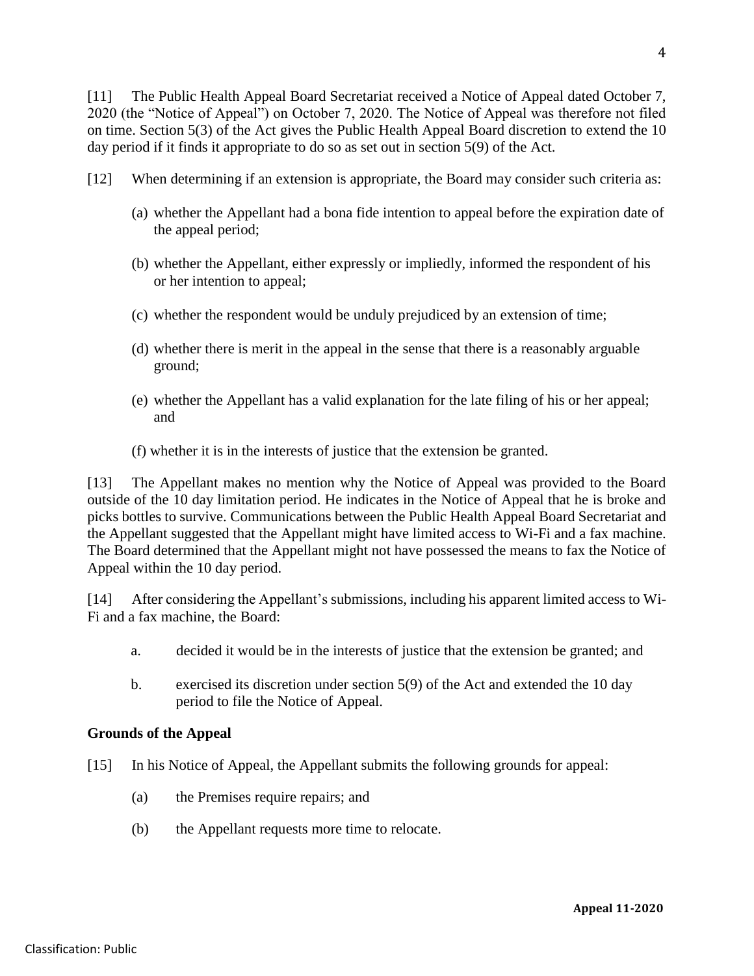[11] The Public Health Appeal Board Secretariat received a Notice of Appeal dated October 7, 2020 (the "Notice of Appeal") on October 7, 2020. The Notice of Appeal was therefore not filed on time. Section 5(3) of the Act gives the Public Health Appeal Board discretion to extend the 10 day period if it finds it appropriate to do so as set out in section 5(9) of the Act.

- [12] When determining if an extension is appropriate, the Board may consider such criteria as:
	- (a) whether the Appellant had a bona fide intention to appeal before the expiration date of the appeal period;
	- (b) whether the Appellant, either expressly or impliedly, informed the respondent of his or her intention to appeal;
	- (c) whether the respondent would be unduly prejudiced by an extension of time;
	- (d) whether there is merit in the appeal in the sense that there is a reasonably arguable ground;
	- (e) whether the Appellant has a valid explanation for the late filing of his or her appeal; and
	- (f) whether it is in the interests of justice that the extension be granted.

[13] The Appellant makes no mention why the Notice of Appeal was provided to the Board outside of the 10 day limitation period. He indicates in the Notice of Appeal that he is broke and picks bottles to survive. Communications between the Public Health Appeal Board Secretariat and the Appellant suggested that the Appellant might have limited access to Wi-Fi and a fax machine. The Board determined that the Appellant might not have possessed the means to fax the Notice of Appeal within the 10 day period.

[14] After considering the Appellant's submissions, including his apparent limited access to Wi-Fi and a fax machine, the Board:

- a. decided it would be in the interests of justice that the extension be granted; and
- b. exercised its discretion under section 5(9) of the Act and extended the 10 day period to file the Notice of Appeal.

### **Grounds of the Appeal**

- [15] In his Notice of Appeal, the Appellant submits the following grounds for appeal:
	- (a) the Premises require repairs; and
	- (b) the Appellant requests more time to relocate.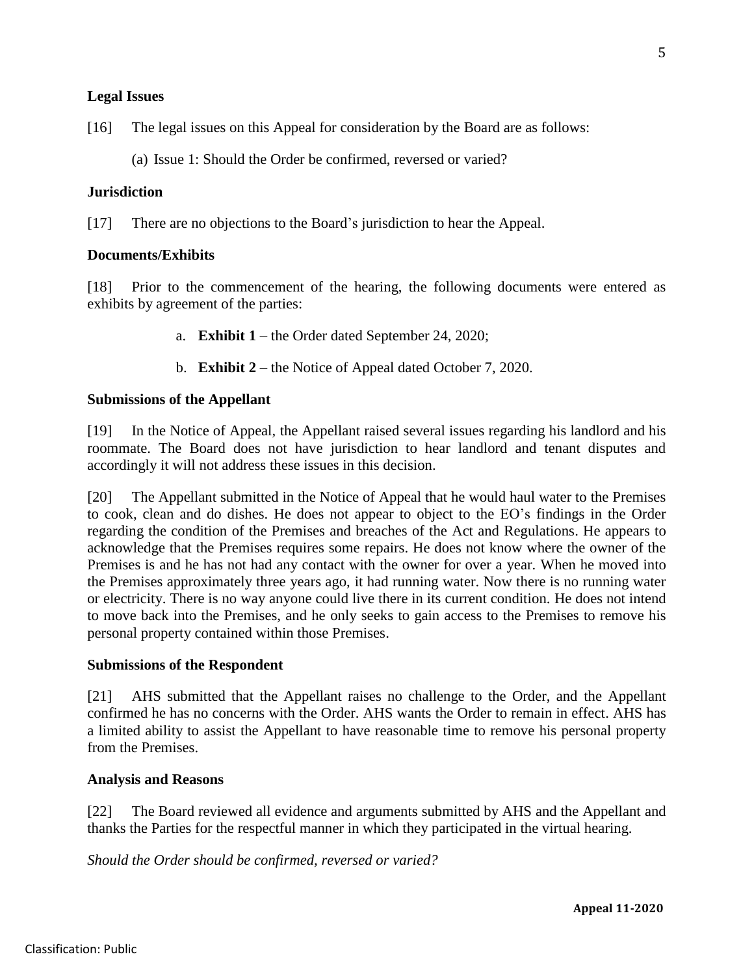### **Legal Issues**

[16] The legal issues on this Appeal for consideration by the Board are as follows:

(a) Issue 1: Should the Order be confirmed, reversed or varied?

#### **Jurisdiction**

[17] There are no objections to the Board's jurisdiction to hear the Appeal.

### **Documents/Exhibits**

[18] Prior to the commencement of the hearing, the following documents were entered as exhibits by agreement of the parties:

- a. **Exhibit 1** the Order dated September 24, 2020;
- b. **Exhibit 2** the Notice of Appeal dated October 7, 2020.

#### **Submissions of the Appellant**

[19] In the Notice of Appeal, the Appellant raised several issues regarding his landlord and his roommate. The Board does not have jurisdiction to hear landlord and tenant disputes and accordingly it will not address these issues in this decision.

[20] The Appellant submitted in the Notice of Appeal that he would haul water to the Premises to cook, clean and do dishes. He does not appear to object to the EO's findings in the Order regarding the condition of the Premises and breaches of the Act and Regulations. He appears to acknowledge that the Premises requires some repairs. He does not know where the owner of the Premises is and he has not had any contact with the owner for over a year. When he moved into the Premises approximately three years ago, it had running water. Now there is no running water or electricity. There is no way anyone could live there in its current condition. He does not intend to move back into the Premises, and he only seeks to gain access to the Premises to remove his personal property contained within those Premises.

#### **Submissions of the Respondent**

[21] AHS submitted that the Appellant raises no challenge to the Order, and the Appellant confirmed he has no concerns with the Order. AHS wants the Order to remain in effect. AHS has a limited ability to assist the Appellant to have reasonable time to remove his personal property from the Premises.

#### **Analysis and Reasons**

[22] The Board reviewed all evidence and arguments submitted by AHS and the Appellant and thanks the Parties for the respectful manner in which they participated in the virtual hearing.

*Should the Order should be confirmed, reversed or varied?*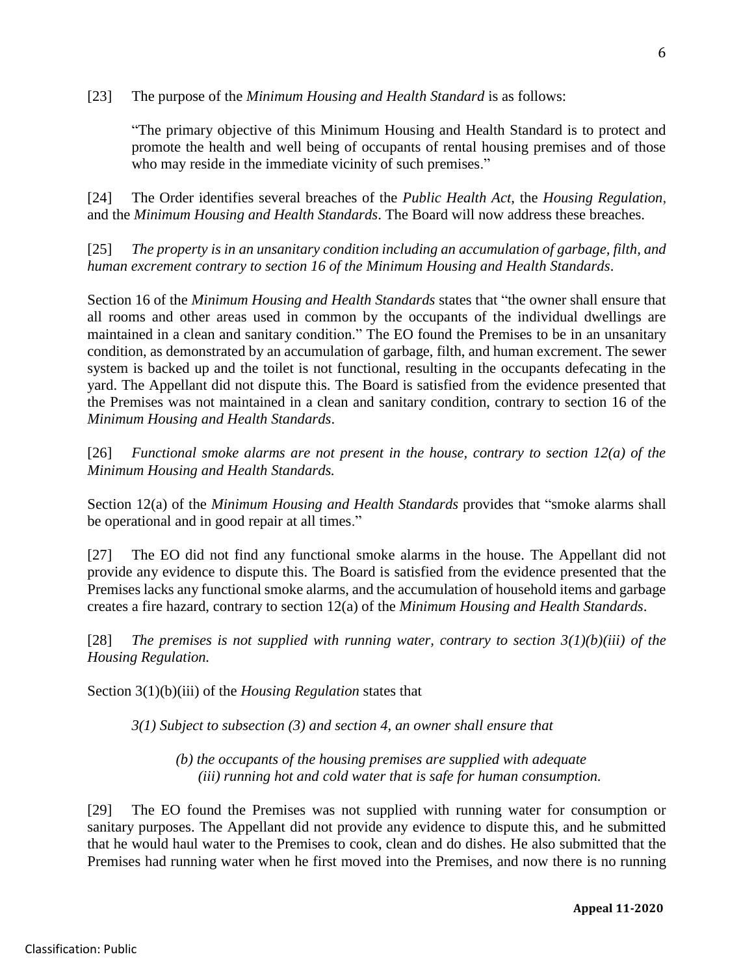[23] The purpose of the *Minimum Housing and Health Standard* is as follows:

"The primary objective of this Minimum Housing and Health Standard is to protect and promote the health and well being of occupants of rental housing premises and of those who may reside in the immediate vicinity of such premises."

[24] The Order identifies several breaches of the *Public Health Act*, the *Housing Regulation*, and the *Minimum Housing and Health Standards*. The Board will now address these breaches.

[25] *The property is in an unsanitary condition including an accumulation of garbage, filth, and human excrement contrary to section 16 of the Minimum Housing and Health Standards*.

Section 16 of the *Minimum Housing and Health Standards* states that "the owner shall ensure that all rooms and other areas used in common by the occupants of the individual dwellings are maintained in a clean and sanitary condition." The EO found the Premises to be in an unsanitary condition, as demonstrated by an accumulation of garbage, filth, and human excrement. The sewer system is backed up and the toilet is not functional, resulting in the occupants defecating in the yard. The Appellant did not dispute this. The Board is satisfied from the evidence presented that the Premises was not maintained in a clean and sanitary condition, contrary to section 16 of the *Minimum Housing and Health Standards*.

[26] *Functional smoke alarms are not present in the house, contrary to section 12(a) of the Minimum Housing and Health Standards.*

Section 12(a) of the *Minimum Housing and Health Standards* provides that "smoke alarms shall be operational and in good repair at all times."

[27] The EO did not find any functional smoke alarms in the house. The Appellant did not provide any evidence to dispute this. The Board is satisfied from the evidence presented that the Premises lacks any functional smoke alarms, and the accumulation of household items and garbage creates a fire hazard, contrary to section 12(a) of the *Minimum Housing and Health Standards*.

[28] *The premises is not supplied with running water, contrary to section 3(1)(b)(iii) of the Housing Regulation.*

Section 3(1)(b)(iii) of the *Housing Regulation* states that

*3(1) Subject to subsection (3) and section 4, an owner shall ensure that*

*(b) the occupants of the housing premises are supplied with adequate (iii) running hot and cold water that is safe for human consumption.*

[29] The EO found the Premises was not supplied with running water for consumption or sanitary purposes. The Appellant did not provide any evidence to dispute this, and he submitted that he would haul water to the Premises to cook, clean and do dishes. He also submitted that the Premises had running water when he first moved into the Premises, and now there is no running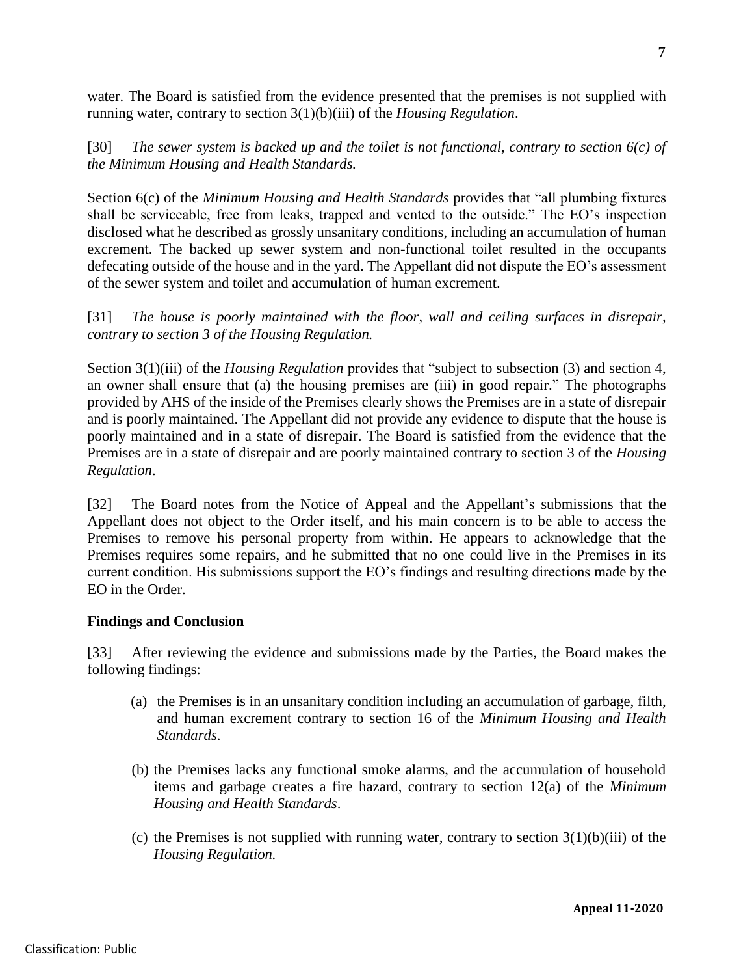water. The Board is satisfied from the evidence presented that the premises is not supplied with running water, contrary to section 3(1)(b)(iii) of the *Housing Regulation*.

[30] *The sewer system is backed up and the toilet is not functional, contrary to section 6(c) of the Minimum Housing and Health Standards.*

Section 6(c) of the *Minimum Housing and Health Standards* provides that "all plumbing fixtures shall be serviceable, free from leaks, trapped and vented to the outside." The EO's inspection disclosed what he described as grossly unsanitary conditions, including an accumulation of human excrement. The backed up sewer system and non-functional toilet resulted in the occupants defecating outside of the house and in the yard. The Appellant did not dispute the EO's assessment of the sewer system and toilet and accumulation of human excrement.

[31] *The house is poorly maintained with the floor, wall and ceiling surfaces in disrepair, contrary to section 3 of the Housing Regulation.* 

Section 3(1)(iii) of the *Housing Regulation* provides that "subject to subsection (3) and section 4, an owner shall ensure that (a) the housing premises are (iii) in good repair." The photographs provided by AHS of the inside of the Premises clearly shows the Premises are in a state of disrepair and is poorly maintained. The Appellant did not provide any evidence to dispute that the house is poorly maintained and in a state of disrepair. The Board is satisfied from the evidence that the Premises are in a state of disrepair and are poorly maintained contrary to section 3 of the *Housing Regulation*.

[32] The Board notes from the Notice of Appeal and the Appellant's submissions that the Appellant does not object to the Order itself, and his main concern is to be able to access the Premises to remove his personal property from within. He appears to acknowledge that the Premises requires some repairs, and he submitted that no one could live in the Premises in its current condition. His submissions support the EO's findings and resulting directions made by the EO in the Order.

### **Findings and Conclusion**

[33] After reviewing the evidence and submissions made by the Parties, the Board makes the following findings:

- (a) the Premises is in an unsanitary condition including an accumulation of garbage, filth, and human excrement contrary to section 16 of the *Minimum Housing and Health Standards*.
- (b) the Premises lacks any functional smoke alarms, and the accumulation of household items and garbage creates a fire hazard, contrary to section 12(a) of the *Minimum Housing and Health Standards*.
- (c) the Premises is not supplied with running water, contrary to section  $3(1)(b)(iii)$  of the *Housing Regulation.*